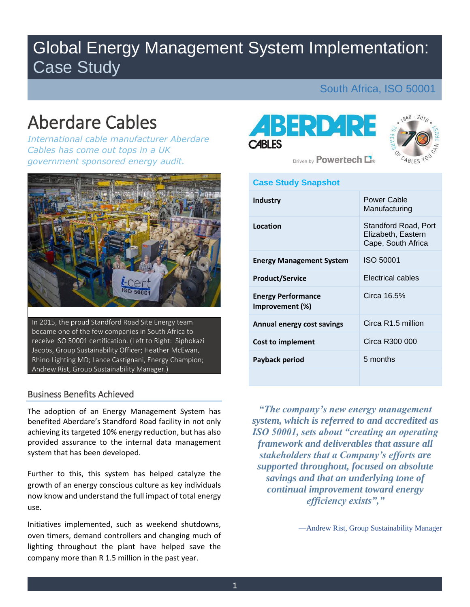## Global Energy Management System Implementation: Case Study

## South Africa, ISO 50001

# Aberdare Cables

*International cable manufacturer Aberdare Cables has come out tops in a UK government sponsored energy audit.* 



 became one of the few companies in South Africa to In 2015, the proud Standford Road Site Energy team receive ISO 50001 certification. (Left to Right: Siphokazi Jacobs, Group Sustainability Officer; Heather McEwan, Rhino Lighting MD; Lance Castignani, Energy Champion; Andrew Rist, Group Sustainability Manager.)

#### Business Benefits Achieved

 The adoption of an Energy Management System has benefited !berdare's Standford Road facility in not only achieving its targeted 10% energy reduction, but has also system that has been developed. system that has been developed.<br>Further to this, this system has helped catalyze the provided assurance to the internal data management

 growth of an energy conscious culture as key individuals now know and understand the full impact of total energy use.

 Initiatives implemented, such as weekend shutdowns, oven timers, demand controllers and changing much of lighting throughout the plant have helped save the company more than R 1.5 million in the past year.





Driven by **Powertech** Le

#### **Case Study Snapshot**

| <b>Industry</b>                              | Power Cable<br>Manufacturing                                     |
|----------------------------------------------|------------------------------------------------------------------|
| Location                                     | Standford Road, Port<br>Elizabeth, Eastern<br>Cape, South Africa |
| <b>Energy Management System</b>              | ISO 50001                                                        |
| <b>Product/Service</b>                       | Electrical cables                                                |
| <b>Energy Performance</b><br>Improvement (%) | Circa 16.5%                                                      |
| Annual energy cost savings                   | Circa R1.5 million                                               |
| Cost to implement                            | Circa R300 000                                                   |
| Payback period                               | 5 months                                                         |
|                                              |                                                                  |

*"The company's new energy management system, which is referred to and accredited as ISO 50001, sets about "creating an operating framework and deliverables that assure all stakeholders that a Company's efforts are supported throughout, focused on absolute savings and that an underlying tone of continual improvement toward energy efficiency exists","* 

—Andrew Rist, Group Sustainability Manager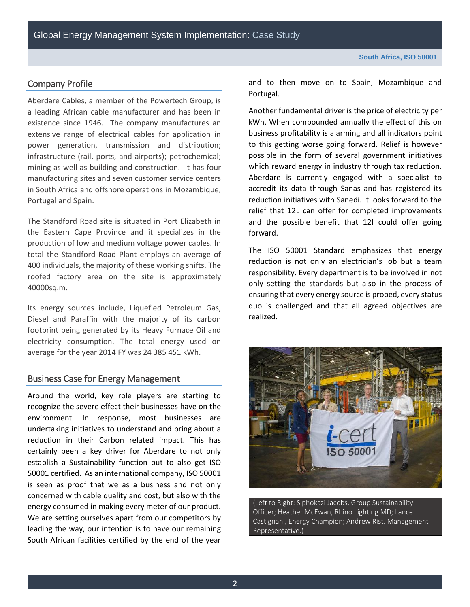#### Company Profile

 existence since 1946. The company manufactures an infrastructure (rail, ports, and airports); petrochemical; mining as well as building and construction. It has four manufacturing sites and seven customer service centers in South Africa and offshore operations in Mozambique, Portugal and Spain. Aberdare Cables, a member of the Powertech Group, is a leading African cable manufacturer and has been in extensive range of electrical cables for application in power generation, transmission and distribution;

 the Eastern Cape Province and it specializes in the production of low and medium voltage power cables. In 400 individuals, the majority of these working shifts. The roofed factory area on the site is approximately The Standford Road site is situated in Port Elizabeth in total the Standford Road Plant employs an average of 40000sq.m.

 footprint being generated by its Heavy Furnace Oil and electricity consumption. The total energy used on average for the year 2014 FY was 24 385 451 kWh. Its energy sources include, Liquefied Petroleum Gas, Diesel and Paraffin with the majority of its carbon

#### Business Case for Energy Management

 Around the world, key role players are starting to undertaking initiatives to understand and bring about a reduction in their Carbon related impact. This has establish a Sustainability function but to also get ISO 50001 certified. As an international company, ISO 50001 is seen as proof that we as a business and not only concerned with cable quality and cost, but also with the We are setting ourselves apart from our competitors by South African facilities certified by the end of the year recognize the severe effect their businesses have on the environment. In response, most businesses are certainly been a key driver for Aberdare to not only energy consumed in making every meter of our product. leading the way, our intention is to have our remaining

 and to then move on to Spain, Mozambique and Portugal.

 Another fundamental driver is the price of electricity per business profitability is alarming and all indicators point possible in the form of several government initiatives Aberdare is currently engaged with a specialist to accredit its data through Sanas and has registered its reduction initiatives with Sanedi. It looks forward to the relief that 12L can offer for completed improvements kWh. When compounded annually the effect of this on to this getting worse going forward. Relief is however which reward energy in industry through tax reduction. and the possible benefit that 12I could offer going forward.

 only setting the standards but also in the process of quo is challenged and that all agreed objectives are The ISO 50001 Standard emphasizes that energy reduction is not only an electrician's job but a team responsibility. Every department is to be involved in not ensuring that every energy source is probed, every status realized.



(Left to Right: Siphokazi Jacobs, Group Sustainability Officer; Heather McEwan, Rhino Lighting MD; Lance Castignani, Energy Champion; Andrew Rist, Management Representative.)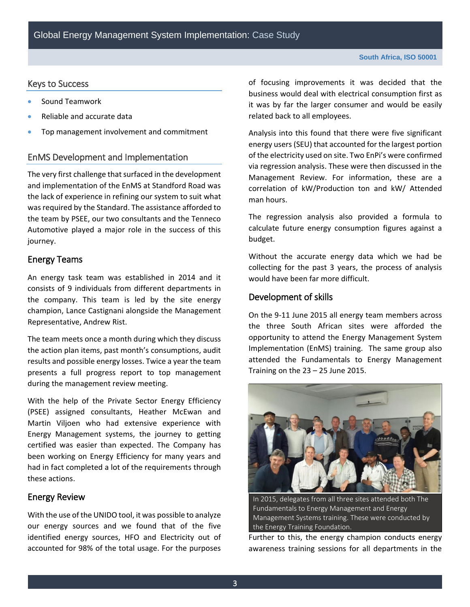#### Keys to Success

- Sound Teamwork
- Reliable and accurate data
- **•** Top management involvement and commitment

#### EnMS Development and Implementation

 The very first challenge that surfaced in the development was required by the Standard. The assistance afforded to and implementation of the EnMS at Standford Road was the lack of experience in refining our system to suit what the team by PSEE, our two consultants and the Tenneco Automotive played a major role in the success of this journey.

#### Energy Teams

 An energy task team was established in 2014 and it consists of 9 individuals from different departments in the company. This team is led by the site energy champion, Lance Castignani alongside the Management Representative, Andrew Rist.

 The team meets once a month during which they discuss results and possible energy losses. Twice a year the team presents a full progress report to top management the action plan items, past month's consumptions, audit during the management review meeting.

 (PSEE) assigned consultants, Heather McEwan and certified was easier than expected. The Company has been working on Energy Efficiency for many years and had in fact completed a lot of the requirements through With the help of the Private Sector Energy Efficiency Martin Viljoen who had extensive experience with Energy Management systems, the journey to getting these actions.

#### Energy Review

 With the use of the UNIDO tool, it was possible to analyze identified energy sources, HFO and Electricity out of our energy sources and we found that of the five accounted for 98% of the total usage. For the purposes

 of focusing improvements it was decided that the it was by far the larger consumer and would be easily business would deal with electrical consumption first as related back to all employees.

 Analysis into this found that there were five significant energy users (SEU) that accounted for the largest portion of the electricity used on site. Two EnPi's were confirmed via regression analysis. These were then discussed in the Management Review. For information, these are a correlation of kW/Production ton and kW/ Attended man hours.

 The regression analysis also provided a formula to calculate future energy consumption figures against a budget.

 Without the accurate energy data which we had be collecting for the past 3 years, the process of analysis would have been far more difficult.

#### Development of skills

 the three South African sites were afforded the opportunity to attend the Energy Management System Implementation (EnMS) training. The same group also On the 9-11 June 2015 all energy team members across attended the Fundamentals to Energy Management Training on the  $23 - 25$  June 2015.



 Management Systems training. These were conducted by In 2015, delegates from all three sites attended both The Fundamentals to Energy Management and Energy the Energy Training Foundation.

 Further to this, the energy champion conducts energy awareness training sessions for all departments in the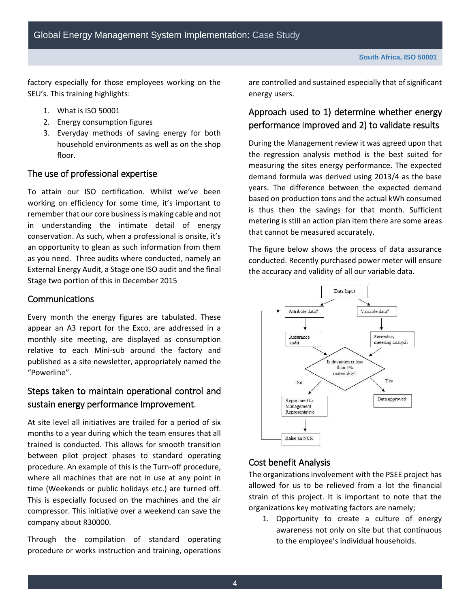factory especially for those employees working on the SEU's. This training highlights:

- 1. What is ISO 50001
- 2. Energy consumption figures
- household environments as well as on the shop 3. Everyday methods of saving energy for both floor.

#### The use of professional expertise

 To attain our ISO certification; Whilst we've been working on efficiency for some time, it's important to remember that our core business is making cable and not as you need. Three audits where conducted, namely an External Energy Audit, a Stage one ISO audit and the final Stage two portion of this in December 2015 in understanding the intimate detail of energy conservation. As such, when a professional is onsite, it's an opportunity to glean as such information from them

#### Communications

 monthly site meeting, are displayed as consumption relative to each Mini-sub around the factory and published as a site newsletter, appropriately named the Every month the energy figures are tabulated. These appear an A3 report for the Exco, are addressed in a "Powerline".

## Steps taken to maintain operational control and sustain energy performance Improvement.

 At site level all initiatives are trailed for a period of six months to a year during which the team ensures that all trained is conducted. This allows for smooth transition procedure. An example of this is the Turn-off procedure, where all machines that are not in use at any point in This is especially focused on the machines and the air compressor. This initiative over a weekend can save the between pilot project phases to standard operating time (Weekends or public holidays etc.) are turned off. company about R30000.

 Through the compilation of standard operating procedure or works instruction and training, operations

are controlled and sustained especially that of significant energy users.

## Approach used to 1) determine whether energy performance improved and 2) to validate results

 the regression analysis method is the best suited for demand formula was derived using 2013/4 as the base based on production tons and the actual kWh consumed is thus then the savings for that month. Sufficient During the Management review it was agreed upon that measuring the sites energy performance. The expected years. The difference between the expected demand metering is still an action plan item there are some areas that cannot be measured accurately.

The figure below shows the process of data assurance conducted. Recently purchased power meter will ensure the accuracy and validity of all our variable data.



### Cost benefit Analysis

 The organizations involvement with the PSEE project has strain of this project. It is important to note that the organizations key motivating factors are namely; allowed for us to be relieved from a lot the financial

1. Opportunity to create a culture of energy awareness not only on site but that continuous to the employee's individual households.